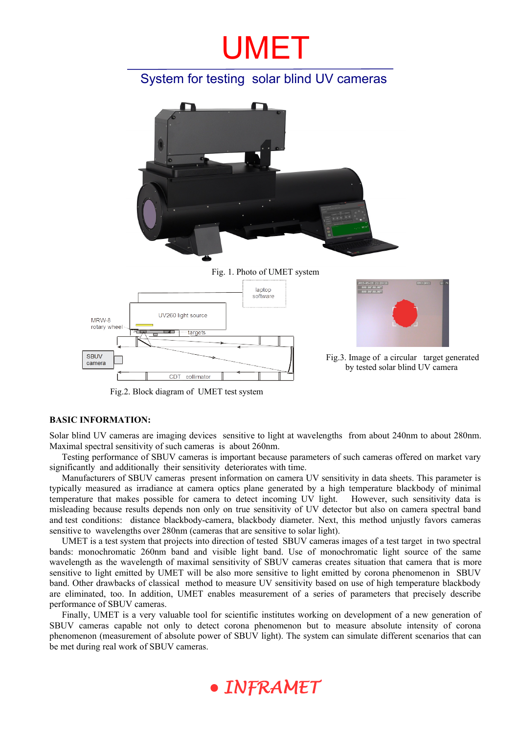# UMET

# System for testing solar blind UV cameras



Fig. 1. Photo of UMET system





Fig.3. Image of a circular target generated by tested solar blind UV camera

Fig.2. Block diagram of UMET test system

#### **BASIC INFORMATION:**

Solar blind UV cameras are imaging devices sensitive to light at wavelengths from about 240nm to about 280nm. Maximal spectral sensitivity of such cameras is about 260nm.

Testing performance of SBUV cameras is important because parameters of such cameras offered on market vary significantly and additionally their sensitivity deteriorates with time.

Manufacturers of SBUV cameras present information on camera UV sensitivity in data sheets. This parameter is typically measured as irradiance at camera optics plane generated by a high temperature blackbody of minimal temperature that makes possible for camera to detect incoming UV light. However, such sensitivity data is misleading because results depends non only on true sensitivity of UV detector but also on camera spectral band and test conditions: distance blackbody-camera, blackbody diameter. Next, this method unjustly favors cameras sensitive to wavelengths over 280nm (cameras that are sensitive to solar light).

UMET is a test system that projects into direction of tested SBUV cameras images of a test target in two spectral bands: monochromatic 260nm band and visible light band. Use of monochromatic light source of the same wavelength as the wavelength of maximal sensitivity of SBUV cameras creates situation that camera that is more sensitive to light emitted by UMET will be also more sensitive to light emitted by corona phenomenon in SBUV band. Other drawbacks of classical method to measure UV sensitivity based on use of high temperature blackbody are eliminated, too. In addition, UMET enables measurement of a series of parameters that precisely describe performance of SBUV cameras.

Finally, UMET is a very valuable tool for scientific institutes working on development of a new generation of SBUV cameras capable not only to detect corona phenomenon but to measure absolute intensity of corona phenomenon (measurement of absolute power of SBUV light). The system can simulate different scenarios that can be met during real work of SBUV cameras.

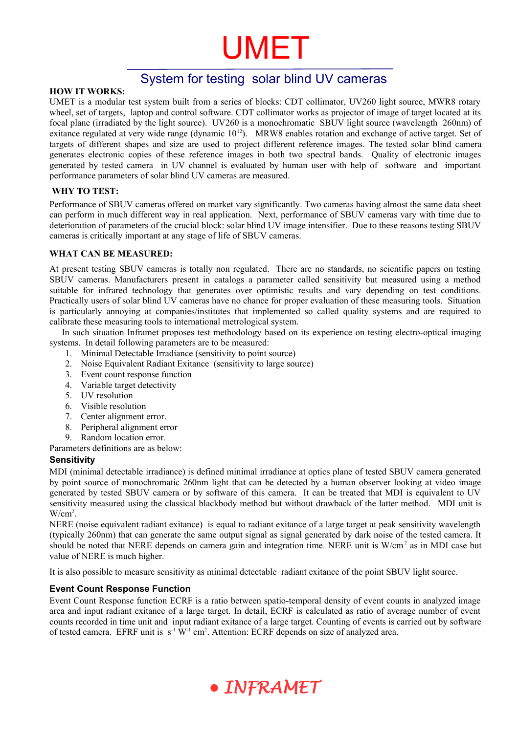# UMET

# System for testing solar blind UV cameras

# **HOW IT WORKS:**

UMET is a modular test system built from a series of blocks: CDT collimator, UV260 light source, MWR8 rotary wheel, set of targets, laptop and control software. CDT collimator works as projector of image of target located at its focal plane (irradiated by the light source). UV260 is a monochromatic SBUV light source (wavelength 260nm) of exitance regulated at very wide range (dynamic  $10^{12}$ ). MRW8 enables rotation and exchange of active target. Set of targets of different shapes and size are used to project different reference images. The tested solar blind camera generates electronic copies of these reference images in both two spectral bands. Quality of electronic images generated by tested camera in UV channel is evaluated by human user with help of software and important performance parameters of solar blind UV cameras are measured.

## **WHY TO TEST:**

Performance of SBUV cameras offered on market vary significantly. Two cameras having almost the same data sheet can perform in much different way in real application. Next, performance of SBUV cameras vary with time due to deterioration of parameters of the crucial block: solar blind UV image intensifier. Due to these reasons testing SBUV cameras is critically important at any stage of life of SBUV cameras.

## **WHAT CAN BE MEASURED:**

At present testing SBUV cameras is totally non regulated. There are no standards, no scientific papers on testing SBUV cameras. Manufacturers present in catalogs a parameter called sensitivity but measured using a method suitable for infrared technology that generates over optimistic results and vary depending on test conditions. Practically users of solar blind UV cameras have no chance for proper evaluation of these measuring tools. Situation is particularly annoying at companies/institutes that implemented so called quality systems and are required to calibrate these measuring tools to international metrological system.

In such situation Inframet proposes test methodology based on its experience on testing electro-optical imaging systems. In detail following parameters are to be measured:

- 1. Minimal Detectable Irradiance (sensitivity to point source)
- 2. Noise Equivalent Radiant Exitance (sensitivity to large source)
- 3. Event count response function
- 4. Variable target detectivity
- 5. UV resolution
- 6. Visible resolution
- 7. Center alignment error.
- 8. Peripheral alignment error
- 9. Random location error.

Parameters definitions are as below:

#### **Sensitivity**

MDI (minimal detectable irradiance) is defined minimal irradiance at optics plane of tested SBUV camera generated by point source of monochromatic 260nm light that can be detected by a human observer looking at video image generated by tested SBUV camera or by software of this camera. It can be treated that MDI is equivalent to UV sensitivity measured using the classical blackbody method but without drawback of the latter method. MDI unit is  $W/cm<sup>2</sup>$ .

NERE (noise equivalent radiant exitance) is equal to radiant exitance of a large target at peak sensitivity wavelength (typically 260nm) that can generate the same output signal as signal generated by dark noise of the tested camera. It should be noted that NERE depends on camera gain and integration time. NERE unit is W/cm<sup>2</sup> as in MDI case but value of NERE is much higher.

It is also possible to measure sensitivity as minimal detectable radiant exitance of the point SBUV light source.

# **Event Count Response Function**

Event Count Response function ECRF is a ratio between spatio-temporal density of event counts in analyzed image area and input radiant exitance of a large target. In detail, ECRF is calculated as ratio of average number of event counts recorded in time unit and input radiant exitance of a large target. Counting of events is carried out by software of tested camera. EFRF unit is s<sup>-1</sup> W<sup>-1</sup> cm<sup>2</sup>. Attention: ECRF depends on size of analyzed area.

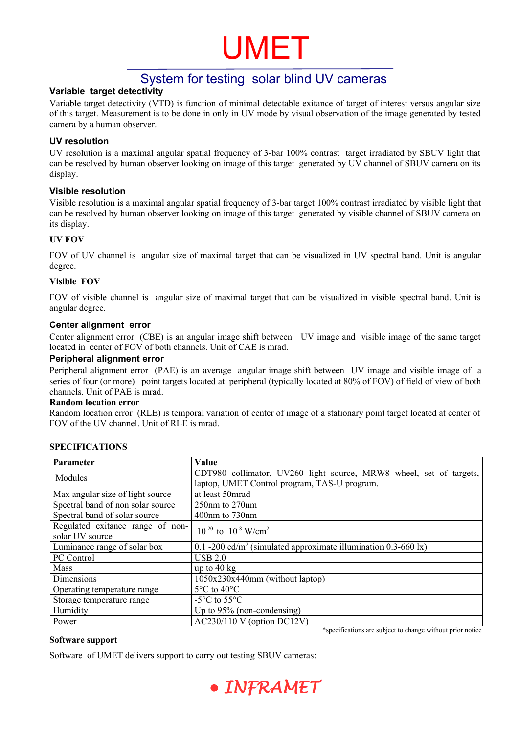# UMET

# System for testing solar blind UV cameras

# **Variable target detectivity**

Variable target detectivity (VTD) is function of minimal detectable exitance of target of interest versus angular size of this target. Measurement is to be done in only in UV mode by visual observation of the image generated by tested camera by a human observer.

### **UV resolution**

UV resolution is a maximal angular spatial frequency of 3-bar 100% contrast target irradiated by SBUV light that can be resolved by human observer looking on image of this target generated by UV channel of SBUV camera on its display.

## **Visible resolution**

Visible resolution is a maximal angular spatial frequency of 3-bar target 100% contrast irradiated by visible light that can be resolved by human observer looking on image of this target generated by visible channel of SBUV camera on its display.

## **UV FOV**

FOV of UV channel is angular size of maximal target that can be visualized in UV spectral band. Unit is angular degree.

#### **Visible FOV**

FOV of visible channel is angular size of maximal target that can be visualized in visible spectral band. Unit is angular degree.

#### **Center alignment error**

Center alignment error (CBE) is an angular image shift between UV image and visible image of the same target located in center of FOV of both channels. Unit of CAE is mrad.

#### **Peripheral alignment error**

Peripheral alignment error (PAE) is an average angular image shift between UV image and visible image of a series of four (or more) point targets located at peripheral (typically located at 80% of FOV) of field of view of both channels. Unit of PAE is mrad.

#### **Random location error**

Random location error (RLE) is temporal variation of center of image of a stationary point target located at center of FOV of the UV channel. Unit of RLE is mrad.

| Parameter                         | <b>Value</b>                                                                                                  |
|-----------------------------------|---------------------------------------------------------------------------------------------------------------|
| Modules                           | CDT980 collimator, UV260 light source, MRW8 wheel, set of targets,                                            |
|                                   | laptop, UMET Control program, TAS-U program.                                                                  |
| Max angular size of light source  | at least 50mrad                                                                                               |
| Spectral band of non solar source | $250$ nm to $270$ nm                                                                                          |
| Spectral band of solar source     | $400$ nm to $730$ nm                                                                                          |
| Regulated exitance range of non-  | $10^{-20}$ to $10^{-8}$ W/cm <sup>2</sup>                                                                     |
| solar UV source                   |                                                                                                               |
| Luminance range of solar box      | 0.1 -200 cd/m <sup>2</sup> (simulated approximate illumination 0.3-660 lx)                                    |
| PC Control                        | <b>USB 2.0</b>                                                                                                |
| Mass                              | up to $40 \text{ kg}$                                                                                         |
| Dimensions                        | 1050x230x440mm (without laptop)                                                                               |
| Operating temperature range       | $5^{\circ}$ C to 40 $^{\circ}$ C                                                                              |
| Storage temperature range         | $-5^{\circ}$ C to $55^{\circ}$ C                                                                              |
| Humidity                          | Up to $95\%$ (non-condensing)                                                                                 |
| Power                             | $AC230/110$ V (option DC12V)<br>the company of the company<br>$\sim$ $\sim$ $\sim$<br>$\sim$ $\sim$<br>$\sim$ |

#### **SPECIFICATIONS**

#### **Software support**

Software of UMET delivers support to carry out testing SBUV cameras:



\*specifications are subject to change without prior notice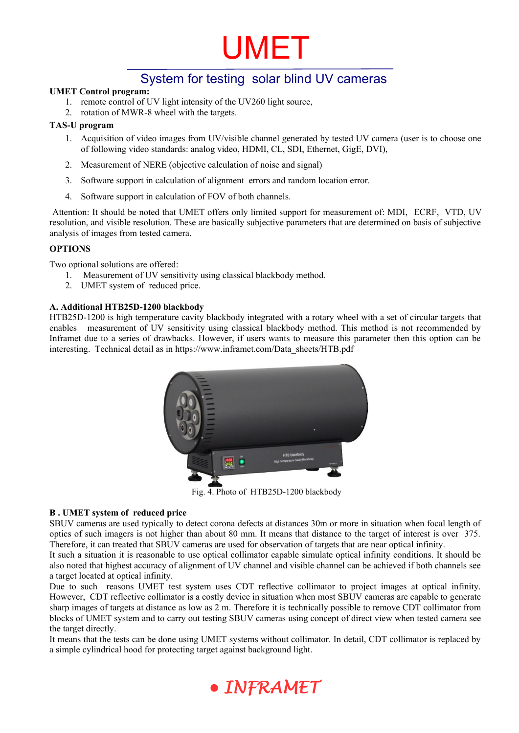

# System for testing solar blind UV cameras

#### **UMET Control program:**

- 1. remote control of UV light intensity of the UV260 light source,
- 2. rotation of MWR-8 wheel with the targets.

#### **TAS-U program**

- 1. Acquisition of video images from UV/visible channel generated by tested UV camera (user is to choose one of following video standards: analog video, HDMI, CL, SDI, Ethernet, GigE, DVI),
- 2. Measurement of NERE (objective calculation of noise and signal)
- 3. Software support in calculation of alignment errors and random location error.
- 4. Software support in calculation of FOV of both channels.

 Attention: It should be noted that UMET offers only limited support for measurement of: MDI, ECRF, VTD, UV resolution, and visible resolution. These are basically subjective parameters that are determined on basis of subjective analysis of images from tested camera.

### **OPTIONS**

Two optional solutions are offered:

- 1. Measurement of UV sensitivity using classical blackbody method.
- 2. UMET system of reduced price.

#### **A. Additional HTB25D-1200 blackbody**

HTB25D-1200 is high temperature cavity blackbody integrated with a rotary wheel with a set of circular targets that enables measurement of UV sensitivity using classical blackbody method. This method is not recommended by Inframet due to a series of drawbacks. However, if users wants to measure this parameter then this option can be interesting. Technical detail as in https://www.inframet.com/Data\_sheets/HTB.pdf



Fig. 4. Photo of HTB25D-1200 blackbody

#### **B . UMET system of reduced price**

SBUV cameras are used typically to detect corona defects at distances 30m or more in situation when focal length of optics of such imagers is not higher than about 80 mm. It means that distance to the target of interest is over 375. Therefore, it can treated that SBUV cameras are used for observation of targets that are near optical infinity.

It such a situation it is reasonable to use optical collimator capable simulate optical infinity conditions. It should be also noted that highest accuracy of alignment of UV channel and visible channel can be achieved if both channels see a target located at optical infinity.

Due to such reasons UMET test system uses CDT reflective collimator to project images at optical infinity. However, CDT reflective collimator is a costly device in situation when most SBUV cameras are capable to generate sharp images of targets at distance as low as 2 m. Therefore it is technically possible to remove CDT collimator from blocks of UMET system and to carry out testing SBUV cameras using concept of direct view when tested camera see the target directly.

It means that the tests can be done using UMET systems without collimator. In detail, CDT collimator is replaced by a simple cylindrical hood for protecting target against background light.